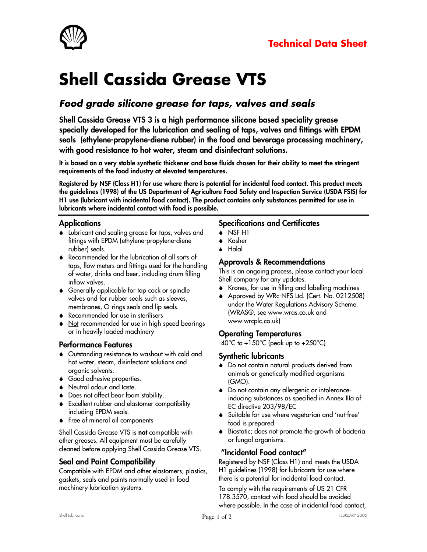

# Shell Cassida Grease VTS

# Food grade silicone grease for taps, valves and seals

Shell Cassida Grease VTS 3 is a high performance silicone based speciality grease specially developed for the lubrication and sealing of taps, valves and fittings with EPDM seals (ethylene-propylene-diene rubber) in the food and beverage processing machinery, with good resistance to hot water, steam and disinfectant solutions.

It is based on a very stable synthetic thickener and base fluids chosen for their ability to meet the stringent requirements of the food industry at elevated temperatures.

Registered by NSF (Class H1) for use where there is potential for incidental food contact. This product meets the guidelines (1998) of the US Department of Agriculture Food Safety and Inspection Service (USDA FSIS) for H1 use (lubricant with incidental food contact). The product contains only substances permitted for use in lubricants where incidental contact with food is possible.

# Applications

- Lubricant and sealing grease for taps, valves and fittings with EPDM (ethylene-propylene-diene rubber) seals.
- ◆ Recommended for the lubrication of all sorts of taps, flow meters and fittings used for the handling of water, drinks and beer, including drum filling inflow valves.
- ◆ Generally applicable for tap cock or spindle valves and for rubber seals such as sleeves, membranes, O-rings seals and lip seals.
- **◆** Recommended for use in sterilisers
- Not recommended for use in high speed bearings or in heavily loaded machinery

#### Performance Features

- Outstanding resistance to washout with cold and hot water, steam, disinfectant solutions and organic solvents.
- ◆ Good adhesive properties.
- Neutral odour and taste.
- Does not affect bear foam stability.
- ♦ Excellent rubber and elastomer compatibility including EPDM seals.
- ◆ Free of mineral oil components

Shell Cassida Grease VTS is not compatible with other greases. All equipment must be carefully cleaned before applying Shell Cassida Grease VTS.

# Seal and Paint Compatibility

Compatible with EPDM and other elastomers, plastics, gaskets, seals and paints normally used in food machinery lubrication systems.

# Specifications and Certificates

- A NSF H1
- **↓** Kosher
- ▲ Halal

#### Approvals & Recommendations

This is an ongoing process, please contact your local Shell company for any updates.

- ◆ Krones, for use in filling and labelling machines
- Approved by WRc-NFS Ltd. (Cert. No. 0212508) under the Water Regulations Advisory Scheme. (WRAS®, see www.wras.co.uk and www.wrcplc.co.uk)

#### Operating Temperatures

-40°C to +150°C (peak up to +250°C)

#### Synthetic lubricants

- ◆ Do not contain natural products derived from animals or genetically modified organisms (GMO).
- ◆ Do not contain any allergenic or intoleranceinducing substances as specified in Annex IIIa of EC directive 203/98/EC
- Suitable for use where vegetarian and 'nut-free' food is prepared.
- Biostatic; does not promote the growth of bacteria or fungal organisms.

# "Incidental Food contact"

Registered by NSF (Class H1) and meets the USDA H1 guidelines (1998) for lubricants for use where there is a potential for incidental food contact.

To comply with the requirements of US 21 CFR 178.3570, contact with food should be avoided where possible. In the case of incidental food contact,